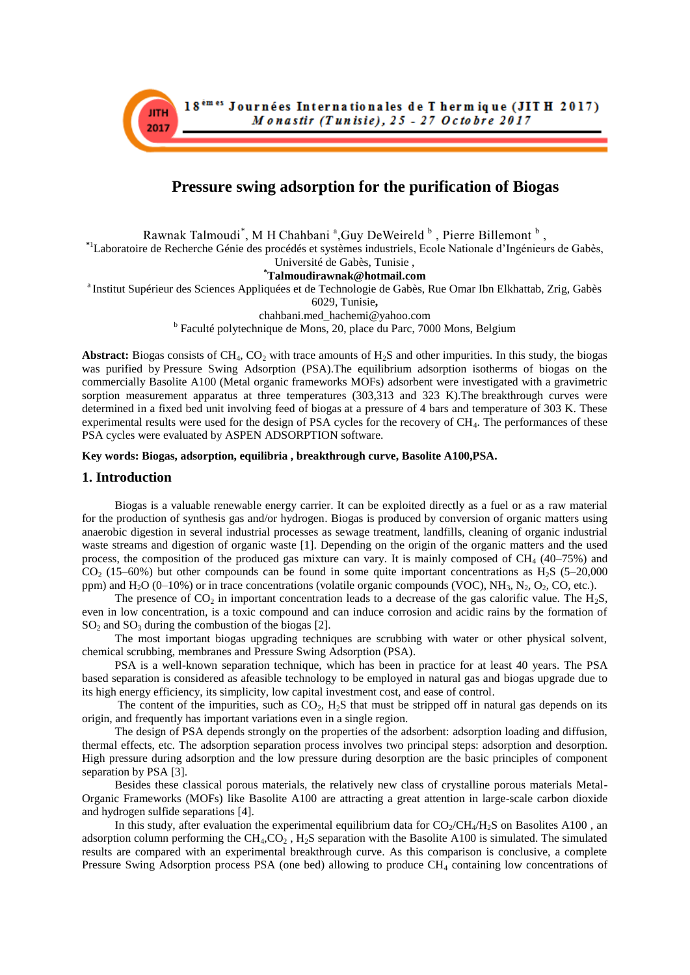

# **[Pressure swing adsorption for the purification of B](https://sigarra.up.pt/feup/pt/pub_geral.show_file?pi_gdoc_id=380015)iogas**

Rawnak Talmoudi<sup>\*</sup>, M H Chahbani<sup>a</sup>, Guy DeWeireld  $\overline{b}$ , Pierre Billemont  $\overline{b}$ , **\***<sup>1</sup>Laboratoire de Recherche Génie des procédés et systèmes industriels, Ecole Nationale d'Ingénieurs de Gabès,

Université de Gabès, Tunisie ,

# **\*Talmoudirawnak@hotmail.com**

<sup>a</sup> Institut Supérieur des Sciences Appliquées et de Technologie de Gabès, Rue Omar Ibn Elkhattab, Zrig, Gabès

6029, Tunisie**,** 

chahbani.med\_hachemi@yahoo.com

<sup>b</sup> Faculté polytechnique de Mons, 20, place du Parc, 7000 Mons, Belgium

**Abstract:** Biogas consists of  $CH_4$ ,  $CO_2$  with trace amounts of  $H_2S$  and other impurities. In this study, the biogas was purified by Pressure Swing Adsorption (PSA).The equilibrium adsorption isotherms of biogas on the commercially Basolite A100 (Metal organic frameworks MOFs) adsorbent were investigated with a gravimetric sorption measurement apparatus at three temperatures (303,313 and 323 K).The breakthrough curves were determined in a fixed bed unit involving feed of biogas at a pressure of 4 bars and temperature of 303 K. These experimental results were used for the design of PSA cycles for the recovery of CH<sub>4</sub>. The performances of these PSA cycles were evaluated by ASPEN ADSORPTION software.

### **Key words: Biogas, adsorption, equilibria , breakthrough curve, Basolite A100,PSA.**

## **1. Introduction**

Biogas is a valuable renewable energy carrier. It can be exploited directly as a fuel or as a raw material for the production of synthesis gas and/or hydrogen. Biogas is produced by conversion of organic matters using anaerobic digestion in several industrial processes as sewage treatment, landfills, cleaning of organic industrial waste streams and digestion of organic waste [1]. Depending on the origin of the organic matters and the used process, the composition of the produced gas mixture can vary. It is mainly composed of  $CH<sub>4</sub>$  (40–75%) and  $CO<sub>2</sub>$  (15–60%) but other compounds can be found in some quite important concentrations as H<sub>2</sub>S (5–20,000) ppm) and  $H_2O$  (0–10%) or in trace concentrations (volatile organic compounds (VOC), NH<sub>3</sub>, N<sub>2</sub>, O<sub>2</sub>, CO, etc.).

The presence of  $CO_2$  in important concentration leads to a decrease of the gas calorific value. The  $H_2S$ , even in low concentration, is a toxic compound and can induce corrosion and acidic rains by the formation of  $SO<sub>2</sub>$  and  $SO<sub>3</sub>$  during the combustion of the biogas [2].

The most important biogas upgrading techniques are scrubbing with water or other physical solvent, chemical scrubbing, membranes and Pressure Swing Adsorption (PSA).

PSA is a well-known separation technique, which has been in practice for at least 40 years. The PSA based separation is considered as afeasible technology to be employed in natural gas and biogas upgrade due to its high energy efficiency, its simplicity, low capital investment cost, and ease of control.

The content of the impurities, such as  $CO<sub>2</sub>$ , H<sub>2</sub>S that must be stripped off in natural gas depends on its origin, and frequently has important variations even in a single region.

The design of PSA depends strongly on the properties of the adsorbent: adsorption loading and diffusion, thermal effects, etc. The adsorption separation process involves two principal steps: adsorption and desorption. High pressure during adsorption and the low pressure during desorption are the basic principles of component separation by PSA [3].

Besides these classical porous materials, the relatively new class of crystalline porous materials Metal-Organic Frameworks (MOFs) like Basolite A100 are attracting a great attention in large-scale carbon dioxide and hydrogen sulfide separations [4].

In this study, after evaluation the experimental equilibrium data for  $CO_2/CH_4/H_2S$  on Basolites A100, an adsorption column performing the  $CH_4, CO_2$ ,  $H_2S$  separation with the Basolite A100 is simulated. The simulated results are compared with an experimental breakthrough curve. As this comparison is conclusive, a complete Pressure Swing Adsorption process PSA (one bed) allowing to produce CH<sub>4</sub> containing low concentrations of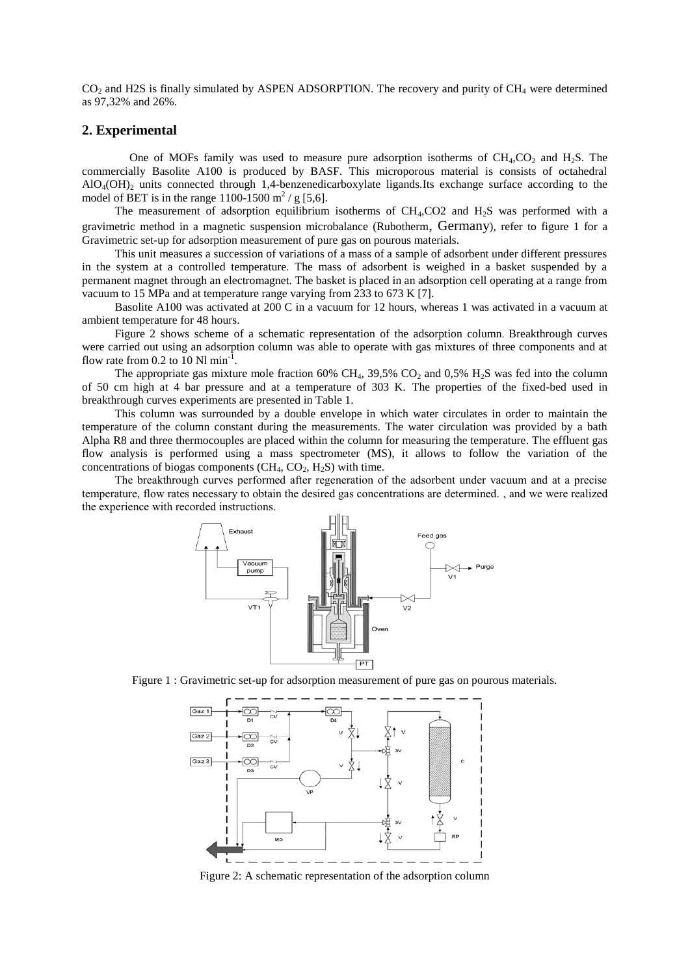CO<sub>2</sub> and H2S is finally simulated by ASPEN ADSORPTION. The recovery and purity of CH<sub>4</sub> were determined as 97,32% and 26%.

### **2. Experimental**

One of MOFs family was used to measure pure adsorption isotherms of  $CH<sub>4</sub>CO<sub>2</sub>$  and H<sub>2</sub>S. The commercially Basolite A100 is produced by BASF. This microporous material is consists of octahedral  $AIO<sub>4</sub>(OH)$ <sub>2</sub> units connected through 1,4-benzenedicarboxylate ligands.Its exchange surface according to the model of BET is in the range  $1100 - 1500$  m<sup>2</sup> / g [5,6].

The measurement of adsorption equilibrium isotherms of  $CH<sub>4</sub>,CO2$  and  $H<sub>2</sub>S$  was performed with a gravimetric method in a magnetic suspension microbalance (Rubotherm, Germany), refer to figure 1 for a Gravimetric set-up for adsorption measurement of pure gas on pourous materials.

This unit measures a succession of variations of a mass of a sample of adsorbent under different pressures in the system at a controlled temperature. The mass of adsorbent is weighed in a basket suspended by a permanent magnet through an electromagnet. The basket is placed in an adsorption cell operating at a range from vacuum to 15 MPa and at temperature range varying from 233 to 673 K [7].

Basolite A100 was activated at 200 C in a vacuum for 12 hours, whereas 1 was activated in a vacuum at ambient temperature for 48 hours.

Figure 2 shows scheme of a schematic representation of the adsorption column. Breakthrough curves were carried out using an adsorption column was able to operate with gas mixtures of three components and at flow rate from  $0.2$  to  $10$  Nl min<sup>-1</sup>.

The appropriate gas mixture mole fraction 60% CH<sub>4</sub>, 39,5% CO<sub>2</sub> and 0,5% H<sub>2</sub>S was fed into the column of 50 cm high at 4 bar pressure and at a temperature of 303 K. The properties of the fixed-bed used in breakthrough curves experiments are presented in Table 1.

This column was surrounded by a double envelope in which water circulates in order to maintain the temperature of the column constant during the measurements. The water circulation was provided by a bath Alpha R8 and three thermocouples are placed within the column for measuring the temperature. The effluent gas flow analysis is performed using a mass spectrometer (MS), it allows to follow the variation of the concentrations of biogas components  $(CH_4, CO_2, H_2S)$  with time.

The breakthrough curves performed after regeneration of the adsorbent under vacuum and at a precise temperature, flow rates necessary to obtain the desired gas concentrations are determined. , and we were realized the experience with recorded instructions.



Figure 1 : Gravimetric set-up for adsorption measurement of pure gas on pourous materials.



Figure 2: A schematic representation of the adsorption column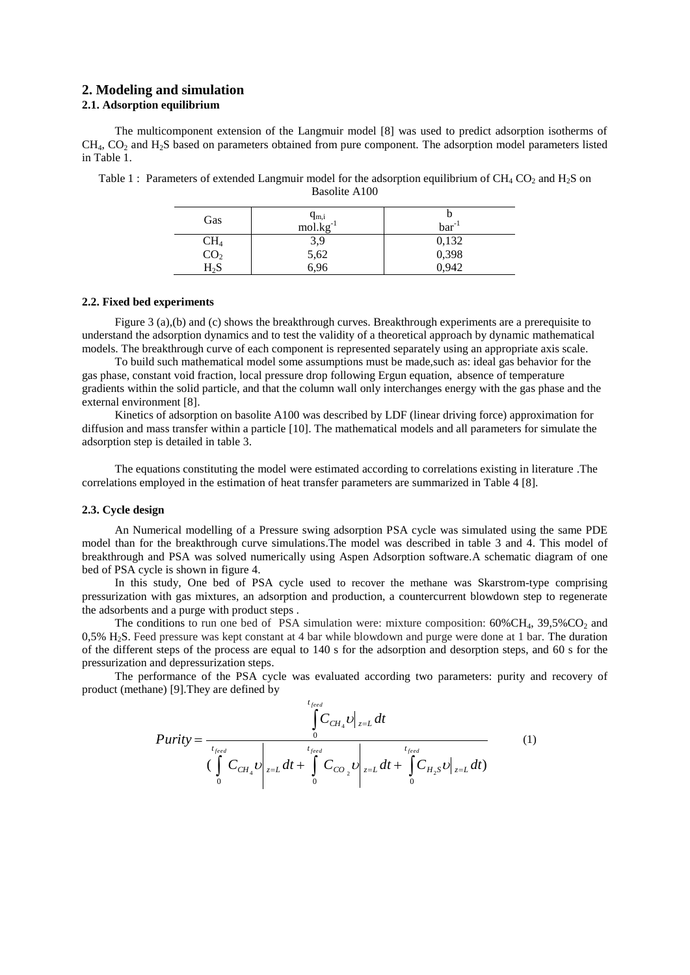## **2. Modeling and simulation**

# **2.1. Adsorption equilibrium**

The multicomponent extension of the Langmuir model [8] was used to predict adsorption isotherms of  $CH<sub>4</sub>, CO<sub>2</sub>$  and  $H<sub>2</sub>S$  based on parameters obtained from pure component. The adsorption model parameters listed in Table 1.

| Gas                                                             | $q_{m,i}$<br>mol.kg <sup>-1</sup> | $bar^{-1}$              |
|-----------------------------------------------------------------|-----------------------------------|-------------------------|
|                                                                 | 3,9                               |                         |
|                                                                 | 5,62<br>6,96                      | 0,132<br>0,398<br>0,942 |
| $\begin{array}{c} \rm CH_4 \\ \rm CO_2 \\ \rm H_2S \end{array}$ |                                   |                         |

Table 1 : Parameters of extended Langmuir model for the adsorption equilibrium of  $CH_4CO_2$  and  $H_2S$  on Basolite A100

#### **2.2. Fixed bed experiments**

Figure 3 (a),(b) and (c) shows the breakthrough curves. Breakthrough experiments are a prerequisite to understand the adsorption dynamics and to test the validity of a theoretical approach by dynamic mathematical models. The breakthrough curve of each component is represented separately using an appropriate axis scale.

To build such mathematical model some assumptions must be made,such as: ideal gas behavior for the gas phase, constant void fraction, local pressure drop following Ergun equation, absence of temperature gradients within the solid particle, and that the column wall only interchanges energy with the gas phase and the external environment [8].

Kinetics of adsorption on basolite A100 was described by LDF (linear driving force) approximation for diffusion and mass transfer within a particle [10]. The mathematical models and all parameters for simulate the adsorption step is detailed in table 3.

The equations constituting the model were estimated according to correlations existing in literature .The correlations employed in the estimation of heat transfer parameters are summarized in Table 4 [8].

#### **2.3. Cycle design**

An Numerical modelling of a Pressure swing adsorption PSA cycle was simulated using the same PDE model than for the breakthrough curve simulations.The model was described in table 3 and 4. This model of breakthrough and PSA was solved numerically using Aspen Adsorption software.A schematic diagram of one bed of PSA cycle is shown in figure 4.

In this study, One bed of PSA cycle used to recover the methane was Skarstrom-type comprising pressurization with gas mixtures, an adsorption and production, a countercurrent blowdown step to regenerate the adsorbents and a purge with product steps .

The conditions to run one bed of PSA simulation were: mixture composition:  $60\%CH_4$ ,  $39,5\%CO_2$  and 0,5% H2S. Feed pressure was kept constant at 4 bar while blowdown and purge were done at 1 bar. The duration of the different steps of the process are equal to 140 s for the adsorption and desorption steps, and 60 s for the pressurization and depressurization steps.

The performance of the PSA cycle was evaluated according two parameters: purity and recovery of product (methane) [9].They are defined by

$$
Purity = \frac{\int_{t_{feed}}^{t_{feed}} C_{CH_4} v|_{z=L} dt}{\left(\int_{0}^{t_{feed}} C_{CH_4} v|_{z=L} dt + \int_{0}^{t_{feed}} C_{CO_2} v|_{z=L} dt + \int_{0}^{t_{feed}} C_{H_2} v|_{z=L} dt\right)}
$$
(1)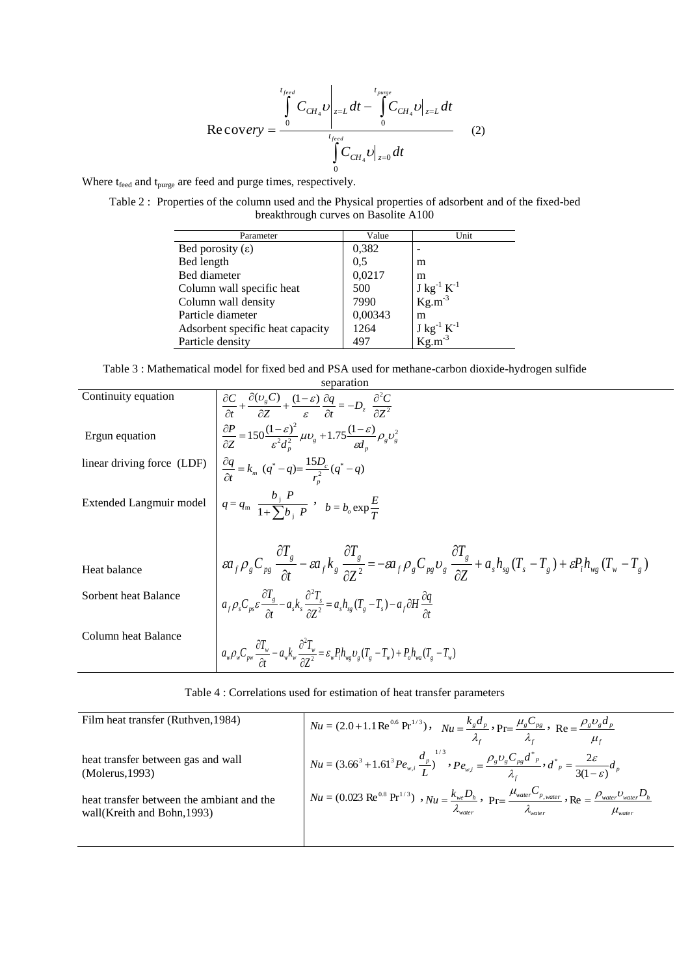$$
\text{Re\,} \text{cover}\text{y} = \frac{\int_{0}^{t_{feed}} C_{CH_4} v \Big|_{z=L} dt - \int_{0}^{t_{pauge}} C_{CH_4} v \Big|_{z=L} dt}{\int_{0}^{t_{feed}} C_{CH_4} v \Big|_{z=0} dt}
$$
(2)

Where  $t_{\text{feed}}$  and  $t_{\text{pure}}$  are feed and purge times, respectively.

Table 2 : Properties of the column used and the Physical properties of adsorbent and of the fixed-bed breakthrough curves on Basolite A100

| Parameter                        | Value   | Unit                                     |
|----------------------------------|---------|------------------------------------------|
| Bed porosity $(\epsilon)$        | 0,382   |                                          |
| Bed length                       | 0.5     | m                                        |
| Bed diameter                     | 0,0217  | m                                        |
| Column wall specific heat        | 500     | $J kg^{-1} K^{-1}$<br>Kg.m <sup>-3</sup> |
| Column wall density              | 7990    |                                          |
| Particle diameter                | 0,00343 | m                                        |
| Adsorbent specific heat capacity | 1264    | $J kg^{-1} K^{-1}$<br>Kg.m <sup>-3</sup> |
| Particle density                 | 497     |                                          |

Table 3 : Mathematical model for fixed bed and PSA used for methane-carbon dioxide-hydrogen sulfide

| separation                 |                                                                                                                                                                                                                                                                                                                                                                                                                |  |  |  |
|----------------------------|----------------------------------------------------------------------------------------------------------------------------------------------------------------------------------------------------------------------------------------------------------------------------------------------------------------------------------------------------------------------------------------------------------------|--|--|--|
| Continuity equation        | $\frac{\partial C}{\partial t} + \frac{\partial (v_{g}C)}{\partial Z} + \frac{(1-\varepsilon)}{\varepsilon} \frac{\partial q}{\partial t} = -D_{z} \frac{\partial^{2} C}{\partial Z^{2}}$                                                                                                                                                                                                                      |  |  |  |
| Ergun equation             | $\frac{\partial P}{\partial Z} = 150 \frac{(1-\varepsilon)^2}{\varepsilon^2 d_*^2} \mu v_g + 1.75 \frac{(1-\varepsilon)}{\varepsilon d} \rho_g v_g^2$                                                                                                                                                                                                                                                          |  |  |  |
| linear driving force (LDF) | $\frac{\partial q}{\partial t} = k_m (q^* - q) = \frac{15D_c}{r_n^2} (q^* - q)$                                                                                                                                                                                                                                                                                                                                |  |  |  |
| Extended Langmuir model    | $q = q_m \frac{b_j P}{1 + \sum b_i P}$ , $b = b_o \exp{\frac{E}{T}}$                                                                                                                                                                                                                                                                                                                                           |  |  |  |
|                            |                                                                                                                                                                                                                                                                                                                                                                                                                |  |  |  |
| Heat balance               | $\label{eq:2.1} \left  \begin{array}{cc} \varepsilon a_f \rho_g C_{\scriptscriptstyle{pg}} \frac{\partial T_g}{\partial t} - \varepsilon a_f k_g \frac{\partial T_g}{\partial Z^2} \end{array} \right  = - \varepsilon a_f \rho_g C_{\scriptscriptstyle{pg}} \upsilon_g \frac{\partial T_g}{\partial Z} + a_s h_{\scriptscriptstyle{sg}} (T_s - T_g) + \varepsilon P_i h_{\scriptscriptstyle{wg}} (T_w - T_g)$ |  |  |  |
| Sorbent heat Balance       | $a_f \rho_s C_{ps} \varepsilon \frac{\partial T_s}{\partial t} - a_s k_s \frac{\partial^2 T_s}{\partial T^2} = a_s h_{sg} (T_s - T_s) - a_f \partial H \frac{\partial q}{\partial t}$                                                                                                                                                                                                                          |  |  |  |
| Column heat Balance        | $a_w \rho_w C_{\rho w} \frac{\partial T_w}{\partial t} - a_w k_w \frac{\partial^2 T_w}{\partial z^2} = \varepsilon_w P_l h_{wg} v_g (T_g - T_w) + P_o h_{wa} (T_g - T_w)$                                                                                                                                                                                                                                      |  |  |  |

| Table 4 : Correlations used for estimation of heat transfer parameters |
|------------------------------------------------------------------------|
|------------------------------------------------------------------------|

| Film heat transfer (Ruthven, 1984)                                        | $Nu = (2.0 + 1.1 \text{Re}^{0.6} \text{Pr}^{1/3}), \quad Nu = \frac{k_g d_p}{\lambda_c}, \text{Pr} = \frac{\mu_g C_{pg}}{\lambda_c}, \text{Re} = \frac{\rho_g v_g d_p}{\mu_c}$                                                                                                           |
|---------------------------------------------------------------------------|------------------------------------------------------------------------------------------------------------------------------------------------------------------------------------------------------------------------------------------------------------------------------------------|
| heat transfer between gas and wall<br>(Molerus, 1993)                     | $Nu = (3.66^{3} + 1.61^{3} P e_{w,i} \frac{d_{p}}{L})^{1/3}, P e_{w,i} = \frac{\rho_{g} v_{g} C_{pg} d^{*}_{p}}{\lambda_{c}}, d^{*}_{p} = \frac{2\varepsilon}{3(1-\varepsilon)} d_{p}$                                                                                                   |
| heat transfer between the ambiant and the<br>wall (Kreith and Bohn, 1993) | $\big ^{Nu} = (0.023 \text{ Re}^{0.8} \text{ Pr}^{1/3}) \cdot Nu = \frac{k_{we}D_h}{\lambda_{\text{water}}} \cdot \text{ Pr} = \frac{\mu_{\text{water}}C_{p,\text{water}}}{\lambda_{\text{water}}} \cdot \text{ Re} = \frac{\rho_{\text{water}}D_{\text{water}}D_h}{\mu_{\text{water}}}$ |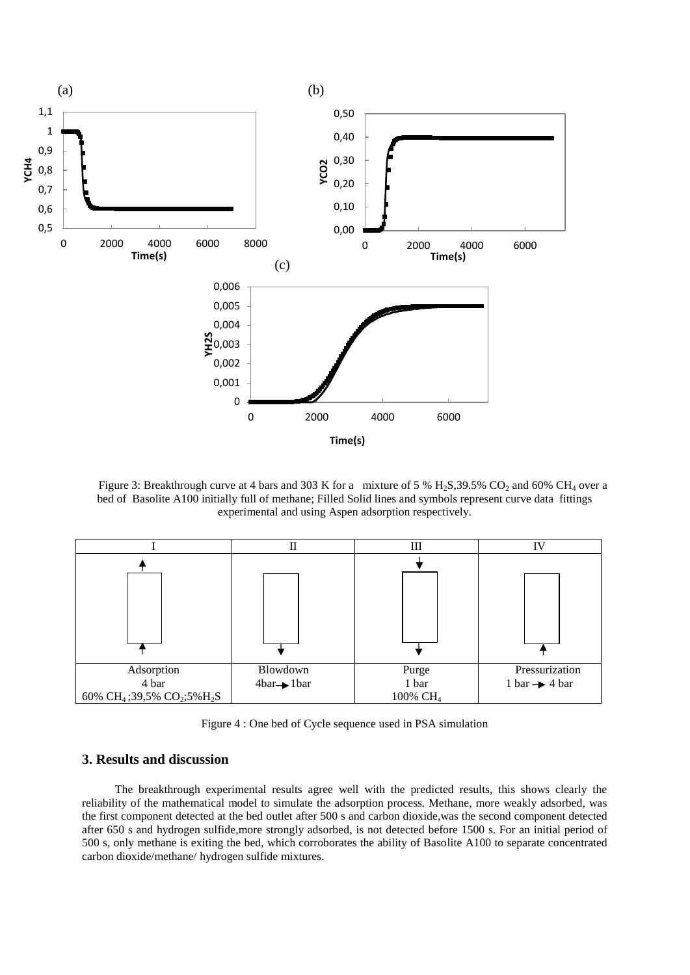

Figure 3: Breakthrough curve at 4 bars and 303 K for a mixture of 5 %  $H_2S$ , 39.5% CO<sub>2</sub> and 60% CH<sub>4</sub> over a bed of Basolite A100 initially full of methane; Filled Solid lines and symbols represent curve data fittings experimental and using Aspen adsorption respectively.

|                                                                 | П                       | Ш                    | IV                        |
|-----------------------------------------------------------------|-------------------------|----------------------|---------------------------|
|                                                                 |                         |                      |                           |
|                                                                 |                         |                      |                           |
| Adsorption                                                      | Blowdown                | Purge                | Pressurization            |
| 4 bar                                                           | $4bar \rightarrow 1bar$ | 1 bar                | 1 bar $\rightarrow$ 4 bar |
| 60% CH <sub>4</sub> ;39,5% CO <sub>2</sub> ;5% H <sub>2</sub> S |                         | 100% CH <sub>4</sub> |                           |

Figure 4 : One bed of Cycle sequence used in PSA simulation

# **3. Results and discussion**

The breakthrough experimental results agree well with the predicted results, this shows clearly the reliability of the mathematical model to simulate the adsorption process. Methane, more weakly adsorbed, was the first component detected at the bed outlet after 500 s and carbon dioxide,was the second component detected after 650 s and hydrogen sulfide*,*more strongly adsorbed, is not detected before 1500 s. For an initial period of 500 s, only methane is exiting the bed, which corroborates the ability of Basolite A100 to separate concentrated carbon dioxide/methane/ hydrogen sulfide mixtures.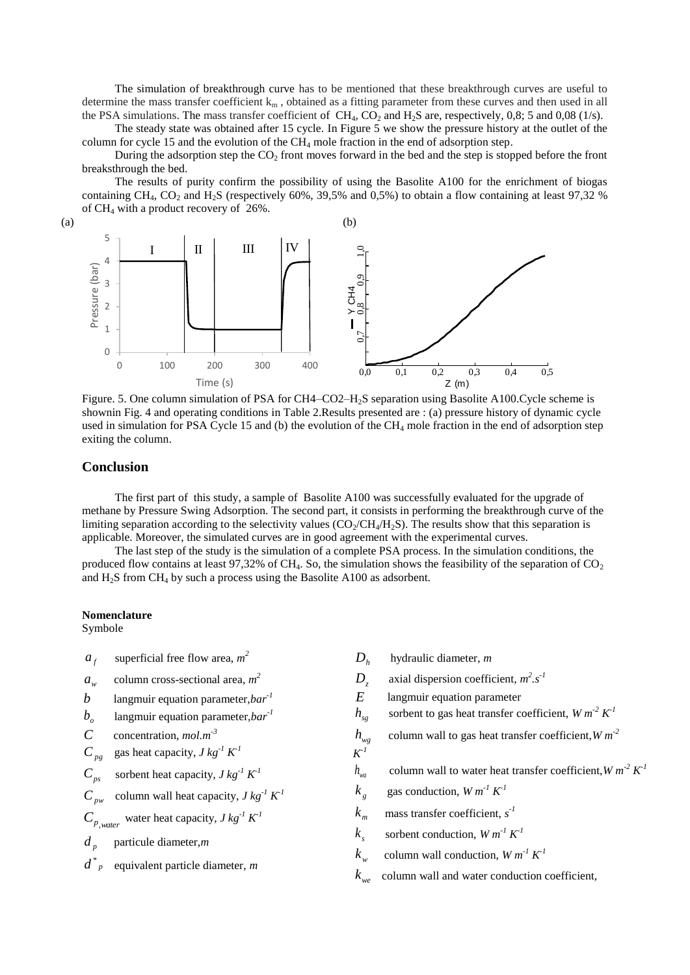The simulation of breakthrough curve has to be mentioned that these breakthrough curves are useful to determine the mass transfer coefficient  $k_m$ , obtained as a fitting parameter from these curves and then used in all the PSA simulations. The mass transfer coefficient of  $CH_4$ , CO<sub>2</sub> and H<sub>2</sub>S are, respectively, 0,8; 5 and 0,08 (1/s).

The steady state was obtained after 15 cycle. In Figure 5 we show the pressure history at the outlet of the column for cycle 15 and the evolution of the  $CH_4$  mole fraction in the end of adsorption step.

During the adsorption step the  $CO<sub>2</sub>$  front moves forward in the bed and the step is stopped before the front breaksthrough the bed.

The results of purity confirm the possibility of using the Basolite A100 for the enrichment of biogas containing CH<sub>4</sub>, CO<sub>2</sub> and H<sub>2</sub>S (respectively 60%, 39,5% and 0,5%) to obtain a flow containing at least 97,32 % of CH<sup>4</sup> with a product recovery of 26%.





Figure. 5. One column simulation of PSA for CH4–CO2–H<sub>2</sub>S separation using Basolite A100.Cycle scheme is shownin Fig. 4 and operating conditions in Table 2.Results presented are : (a) pressure history of dynamic cycle used in simulation for PSA Cycle 15 and (b) the evolution of the  $CH<sub>4</sub>$  mole fraction in the end of adsorption step exiting the column.

### **Conclusion**

The first part of this study, a sample of Basolite A100 was successfully evaluated for the upgrade of methane by Pressure Swing Adsorption. The second part, it consists in performing the breakthrough curve of the limiting separation according to the selectivity values  $(CO_2/CH_4/H_2S)$ . The results show that this separation is applicable. Moreover, the simulated curves are in good agreement with the experimental curves.

The last step of the study is the simulation of a complete PSA process. In the simulation conditions, the produced flow contains at least 97,32% of CH<sub>4</sub>. So, the simulation shows the feasibility of the separation of  $CO<sub>2</sub>$ and  $H_2S$  from CH<sub>4</sub> by such a process using the Basolite A100 as adsorbent.

#### **Nomenclature**

Symbole

 $a_f$  superficial free flow area,  $m^2$  $a_w$  column cross-sectional area,  $m^2$ *b* langmuir equation parameter,*bar-1*  $b<sub>s</sub>$  langmuir equation parameter,*bar<sup>-1</sup> C* concentration, *mol.m-3*  $C_{pg}$ gas heat capacity,  $J kg^{-1} K^{-1}$  $C_{ps}$ sorbent heat capacity,  $J kg^{-1} K^1$  $C_{\mu\nu}$ column wall heat capacity,  $J kg^{-1} K^1$  $C_{p, \text{water}}$  water heat capacity, *J kg*<sup>-1</sup>  $K^1$  $d_n$  particule diameter,*m d <sup>p</sup>* \* equivalent particle diameter, *m*  $D_h$  hydraulic diameter, *m D z* axial dispersion coefficient,  $m^2 \cdot s^{-1}$ *E* langmuir equation parameter  $h_{sg}$  sorbent to gas heat transfer coefficient,  $W m^2 K^1$  $h_{we}$  column wall to gas heat transfer coefficient,*W m-2*  $K^I$  $h_{wa}$  column wall to water heat transfer coefficient,  $W m^2 K^1$  $k_{\circ}$  $k_e$  gas conduction,  $W m^{-1} K^{-1}$  $k_m$  $k_m$  mass transfer coefficient,  $s^2$  $k_{s}$  $k<sub>s</sub>$  sorbent conduction,  $W m<sup>-1</sup> K<sup>-1</sup>$  $k_w$  $k_w$  column wall conduction,  $W m^{-1} K^{-1}$  $k_{\text{w}e}$  column wall and water conduction coefficient,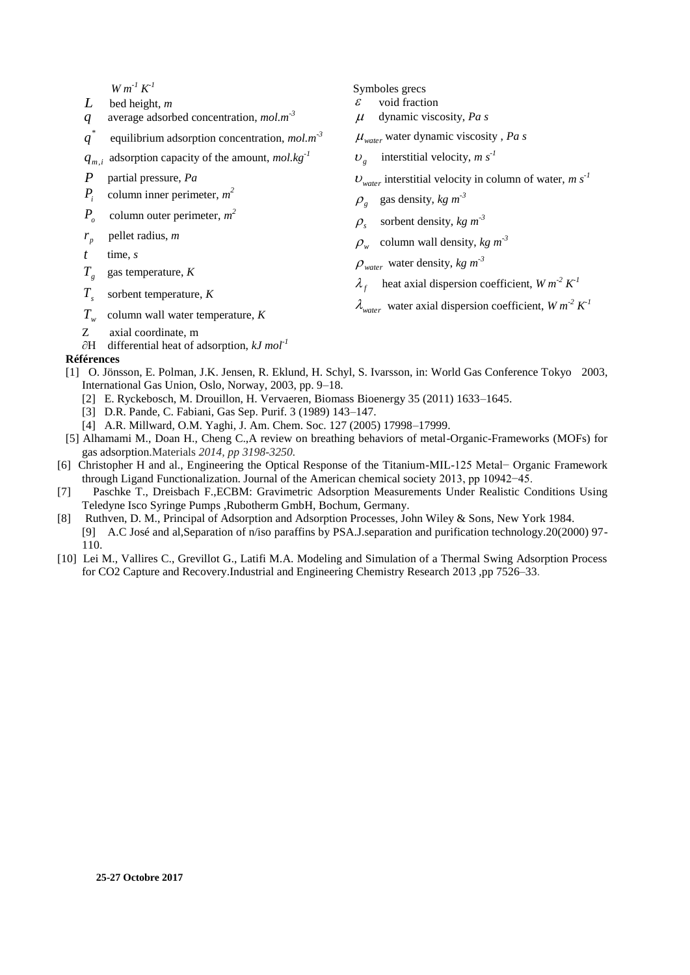$W m^{-1} K^{-1}$ 

- *L* bed height, *m*
- *q* average adsorbed concentration, *mol.m-3*
- $q^{\dagger}$ *q* equilibrium adsorption concentration, *mol.m-3*
- *qm*,*<sup>i</sup>* adsorption capacity of the amount, *mol.kg-1*
- *P* partial pressure, *Pa*
- *Pi* column inner perimeter, *m 2*
- $P_{o}$ column outer perimeter, *m 2*
- $r_{p}$ *r* pellet radius, *m*
- *t* time, *s*
- $T_{g}$ gas temperature, *K*
- $T<sub>s</sub>$ sorbent temperature, *K*
- *Tw* column wall water temperature, *K*
- Z axial coordinate, m
- ∂H differential heat of adsorption, *kJ mol-1*

### **Références**

- [1] O. Jönsson, E. Polman, J.K. Jensen, R. Eklund, H. Schyl, S. Ivarsson, in: World Gas Conference Tokyo 2003, International Gas Union, Oslo, Norway, 2003, pp. 9–18.
	- [2] E. Ryckebosch, M. Drouillon, H. Vervaeren, Biomass Bioenergy 35 (2011) 1633–1645.
	- [3] D.R. Pande, C. Fabiani, Gas Sep. Purif. 3 (1989) 143–147.
	- [4] A.R. Millward, O.M. Yaghi, J. Am. Chem. Soc. 127 (2005) 17998–17999.
- [5] Alhamami M., Doan H., Cheng C.,A review on breathing behaviors of metal-Organic-Frameworks (MOFs) for gas adsorption.Materials *2014, pp 3198-3250.*
- [6] Christopher H and al., Engineering the Optical Response of the Titanium-MIL-125 Metal− Organic Framework through Ligand Functionalization. Journal of the American chemical society 2013, pp 10942−45.
- [7] Paschke T., Dreisbach F.,ECBM: Gravimetric Adsorption Measurements Under Realistic Conditions Using Teledyne Isco Syringe Pumps ,Rubotherm GmbH, Bochum, Germany.
- [8] Ruthven, D. M., Principal of Adsorption and Adsorption Processes, John Wiley & Sons, New York 1984.
- [9] A.C José and al,Separation of n/iso paraffins by PSA.J.separation and purification technology.20(2000) 97- 110.
- [10] Lei M., Vallires C., Grevillot G., Latifi M.A. Modeling and Simulation of a Thermal Swing Adsorption Process for CO2 Capture and Recovery[.Industrial and Engineering Chemistry Research](https://www.researchgate.net/journal/0888-5885_Industrial_Engineering_Chemistry_Research) 2013 ,pp 7526–33.
- Symboles grecs
- $\epsilon$  void fraction
- dynamic viscosity, *Pa s*

*water* water dynamic viscosity , *Pa s*

 $v_g$  interstitial velocity, *m s<sup>-1</sup>* 

 $U_{\text{water}}$  interstitial velocity in column of water, *m* s<sup>-1</sup>

- $\varphi_{g}$  gas density, *kg*  $m^{-3}$
- $\rho_s$  sorbent density, *kg*  $m^{-3}$
- $\rho_w$  column wall density, *kg*  $m<sup>-3</sup>$
- $\rho_{\text{water}}$  water density,  $kg \, m^3$
- $\lambda_f$  heat axial dispersion coefficient, *W*  $m^2 K^1$
- $\lambda_{water}$  water axial dispersion coefficient,  $W m^2 K^1$